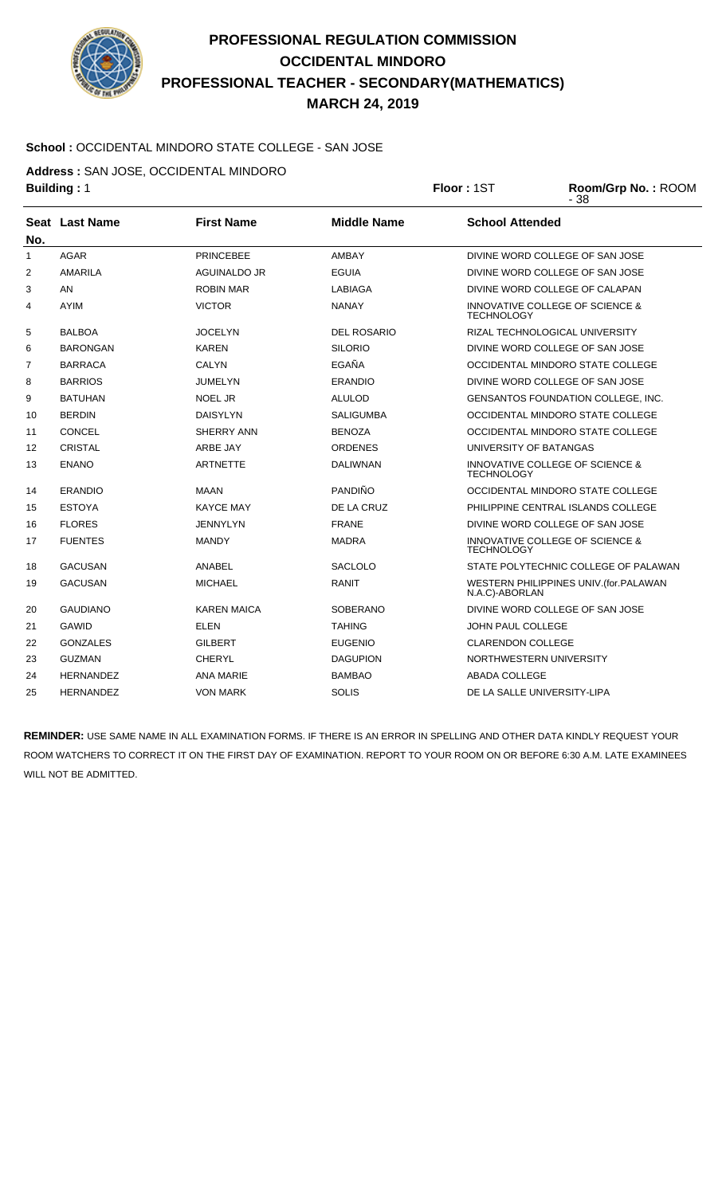

## **PROFESSIONAL REGULATION COMMISSION OCCIDENTAL MINDORO PROFESSIONAL TEACHER - SECONDARY(MATHEMATICS) MARCH 24, 2019**

## **School :** OCCIDENTAL MINDORO STATE COLLEGE - SAN JOSE

**Address :** SAN JOSE, OCCIDENTAL MINDORO

|              | <b>Building: 1</b> |                                         | Floor: 1ST         | Room/Grp No.: ROOM<br>$-38$                          |                                                      |  |
|--------------|--------------------|-----------------------------------------|--------------------|------------------------------------------------------|------------------------------------------------------|--|
| No.          | Seat Last Name     | <b>First Name</b><br><b>Middle Name</b> |                    | <b>School Attended</b>                               |                                                      |  |
| $\mathbf{1}$ | <b>AGAR</b>        | <b>PRINCEBEE</b>                        | <b>AMBAY</b>       |                                                      | DIVINE WORD COLLEGE OF SAN JOSE                      |  |
| 2            | <b>AMARILA</b>     | AGUINALDO JR                            | <b>EGUIA</b>       |                                                      | DIVINE WORD COLLEGE OF SAN JOSE                      |  |
| 3            | AN                 | ROBIN MAR                               | LABIAGA            |                                                      | DIVINE WORD COLLEGE OF CALAPAN                       |  |
| 4            | <b>AYIM</b>        | <b>VICTOR</b>                           | <b>NANAY</b>       |                                                      | INNOVATIVE COLLEGE OF SCIENCE &<br><b>TECHNOLOGY</b> |  |
| 5            | <b>BALBOA</b>      | <b>JOCELYN</b>                          | <b>DEL ROSARIO</b> |                                                      | RIZAL TECHNOLOGICAL UNIVERSITY                       |  |
| 6            | <b>BARONGAN</b>    | <b>KAREN</b>                            | <b>SILORIO</b>     |                                                      | DIVINE WORD COLLEGE OF SAN JOSE                      |  |
| 7            | <b>BARRACA</b>     | <b>CALYN</b>                            | <b>EGAÑA</b>       | OCCIDENTAL MINDORO STATE COLLEGE                     |                                                      |  |
| 8            | <b>BARRIOS</b>     | <b>JUMELYN</b>                          | <b>ERANDIO</b>     |                                                      | DIVINE WORD COLLEGE OF SAN JOSE                      |  |
| 9            | <b>BATUHAN</b>     | <b>NOEL JR</b>                          | <b>ALULOD</b>      |                                                      | <b>GENSANTOS FOUNDATION COLLEGE. INC.</b>            |  |
| 10           | <b>BERDIN</b>      | <b>DAISYLYN</b>                         | SALIGUMBA          |                                                      | OCCIDENTAL MINDORO STATE COLLEGE                     |  |
| 11           | <b>CONCEL</b>      | SHERRY ANN                              | <b>BENOZA</b>      |                                                      | OCCIDENTAL MINDORO STATE COLLEGE                     |  |
| 12           | <b>CRISTAL</b>     | ARBE JAY                                | <b>ORDENES</b>     | UNIVERSITY OF BATANGAS                               |                                                      |  |
| 13           | <b>ENANO</b>       | <b>ARTNETTE</b>                         | DALIWNAN           | <b>TECHNOLOGY</b>                                    | <b>INNOVATIVE COLLEGE OF SCIENCE &amp;</b>           |  |
| 14           | <b>ERANDIO</b>     | <b>MAAN</b>                             | <b>PANDIÑO</b>     |                                                      | OCCIDENTAL MINDORO STATE COLLEGE                     |  |
| 15           | <b>ESTOYA</b>      | <b>KAYCE MAY</b>                        | DE LA CRUZ         |                                                      | PHILIPPINE CENTRAL ISLANDS COLLEGE                   |  |
| 16           | <b>FLORES</b>      | JENNYLYN                                | <b>FRANE</b>       |                                                      | DIVINE WORD COLLEGE OF SAN JOSE                      |  |
| 17           | <b>FUENTES</b>     | <b>MANDY</b>                            | <b>MADRA</b>       | INNOVATIVE COLLEGE OF SCIENCE &<br><b>TECHNOLOGY</b> |                                                      |  |
| 18           | <b>GACUSAN</b>     | <b>ANABEL</b>                           | <b>SACLOLO</b>     |                                                      | STATE POLYTECHNIC COLLEGE OF PALAWAN                 |  |
| 19           | <b>GACUSAN</b>     | <b>MICHAEL</b>                          | <b>RANIT</b>       | N.A.C)-ABORLAN                                       | WESTERN PHILIPPINES UNIV.(for.PALAWAN                |  |
| 20           | <b>GAUDIANO</b>    | <b>KAREN MAICA</b>                      | SOBERANO           | DIVINE WORD COLLEGE OF SAN JOSE                      |                                                      |  |
| 21           | <b>GAWID</b>       | <b>ELEN</b>                             | <b>TAHING</b>      | <b>JOHN PAUL COLLEGE</b>                             |                                                      |  |
| 22           | <b>GONZALES</b>    | <b>GILBERT</b>                          | <b>EUGENIO</b>     | <b>CLARENDON COLLEGE</b>                             |                                                      |  |
| 23           | <b>GUZMAN</b>      | CHERYL                                  | <b>DAGUPION</b>    | NORTHWESTERN UNIVERSITY                              |                                                      |  |
| 24           | <b>HERNANDEZ</b>   | <b>ANA MARIE</b>                        | <b>BAMBAO</b>      | <b>ABADA COLLEGE</b>                                 |                                                      |  |
| 25           | <b>HERNANDEZ</b>   | <b>VON MARK</b>                         | <b>SOLIS</b>       | DE LA SALLE UNIVERSITY-LIPA                          |                                                      |  |

**REMINDER:** USE SAME NAME IN ALL EXAMINATION FORMS. IF THERE IS AN ERROR IN SPELLING AND OTHER DATA KINDLY REQUEST YOUR ROOM WATCHERS TO CORRECT IT ON THE FIRST DAY OF EXAMINATION. REPORT TO YOUR ROOM ON OR BEFORE 6:30 A.M. LATE EXAMINEES WILL NOT BE ADMITTED.